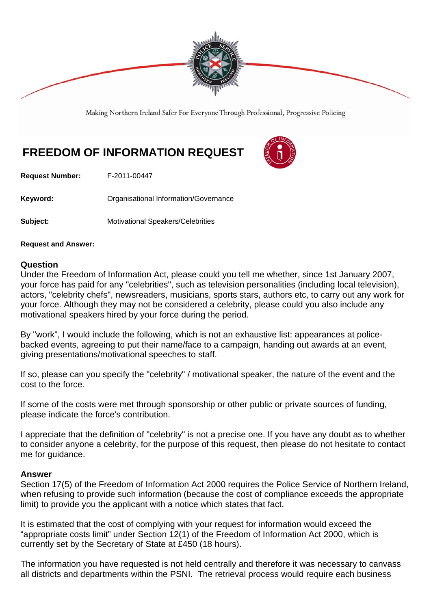

Making Northern Ireland Safer For Everyone Through Professional, Progressive Policing

## **FREEDOM OF INFORMATION REQUEST**



**Request Number:** F-2011-00447

Keyword: **Communistry Communists** Organisational Information/Governance

**Subject:** Motivational Speakers/Celebrities

**Request and Answer:** 

## **Question**

Under the Freedom of Information Act, please could you tell me whether, since 1st January 2007, your force has paid for any "celebrities", such as television personalities (including local television), actors, "celebrity chefs", newsreaders, musicians, sports stars, authors etc, to carry out any work for your force. Although they may not be considered a celebrity, please could you also include any motivational speakers hired by your force during the period.

By "work", I would include the following, which is not an exhaustive list: appearances at policebacked events, agreeing to put their name/face to a campaign, handing out awards at an event, giving presentations/motivational speeches to staff.

If so, please can you specify the "celebrity" / motivational speaker, the nature of the event and the cost to the force.

If some of the costs were met through sponsorship or other public or private sources of funding, please indicate the force's contribution.

I appreciate that the definition of "celebrity" is not a precise one. If you have any doubt as to whether to consider anyone a celebrity, for the purpose of this request, then please do not hesitate to contact me for guidance.

## **Answer**

Section 17(5) of the Freedom of Information Act 2000 requires the Police Service of Northern Ireland, when refusing to provide such information (because the cost of compliance exceeds the appropriate limit) to provide you the applicant with a notice which states that fact.

It is estimated that the cost of complying with your request for information would exceed the "appropriate costs limit" under Section 12(1) of the Freedom of Information Act 2000, which is currently set by the Secretary of State at £450 (18 hours).

The information you have requested is not held centrally and therefore it was necessary to canvass all districts and departments within the PSNI. The retrieval process would require each business